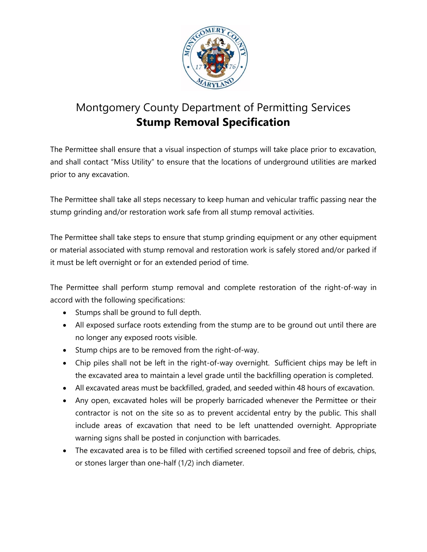

## Montgomery County Department of Permitting Services **Stump Removal Specification**

The Permittee shall ensure that a visual inspection of stumps will take place prior to excavation, and shall contact "Miss Utility" to ensure that the locations of underground utilities are marked prior to any excavation.

The Permittee shall take all steps necessary to keep human and vehicular traffic passing near the stump grinding and/or restoration work safe from all stump removal activities.

The Permittee shall take steps to ensure that stump grinding equipment or any other equipment or material associated with stump removal and restoration work is safely stored and/or parked if it must be left overnight or for an extended period of time.

The Permittee shall perform stump removal and complete restoration of the right-of-way in accord with the following specifications:

- Stumps shall be ground to full depth.
- All exposed surface roots extending from the stump are to be ground out until there are no longer any exposed roots visible.
- Stump chips are to be removed from the right-of-way.
- Chip piles shall not be left in the right-of-way overnight. Sufficient chips may be left in the excavated area to maintain a level grade until the backfilling operation is completed.
- All excavated areas must be backfilled, graded, and seeded within 48 hours of excavation.
- Any open, excavated holes will be properly barricaded whenever the Permittee or their contractor is not on the site so as to prevent accidental entry by the public. This shall include areas of excavation that need to be left unattended overnight. Appropriate warning signs shall be posted in conjunction with barricades.
- The excavated area is to be filled with certified screened topsoil and free of debris, chips, or stones larger than one-half (1/2) inch diameter.